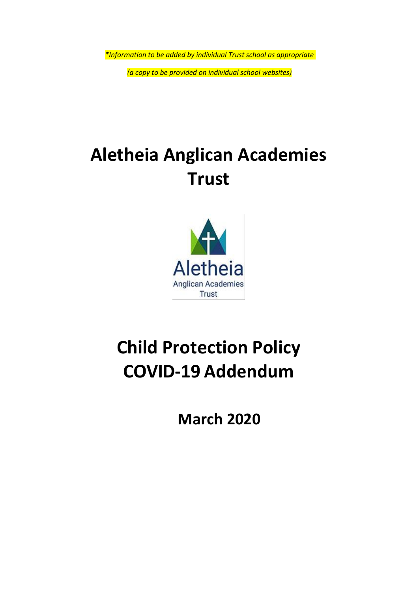*\*Information to be added by individual Trust school as appropriate*

*(a copy to be provided on individual school websites)*

## **Aletheia Anglican Academies Trust**



# **Child Protection Policy COVID-19 Addendum**

**March 2020**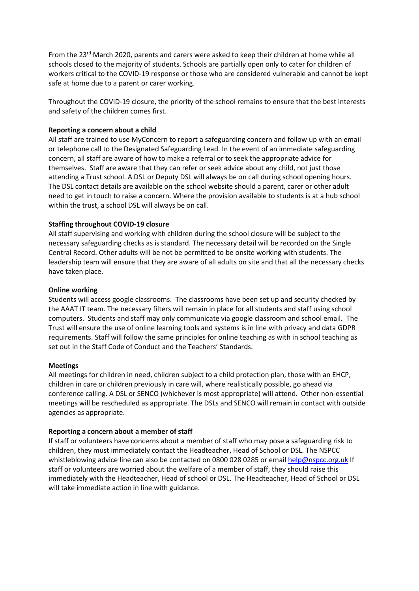From the 23<sup>rd</sup> March 2020, parents and carers were asked to keep their children at home while all schools closed to the majority of students. Schools are partially open only to cater for children of workers critical to the COVID-19 response or those who are considered vulnerable and cannot be kept safe at home due to a parent or carer working.

Throughout the COVID-19 closure, the priority of the school remains to ensure that the best interests and safety of the children comes first.

#### **Reporting a concern about a child**

All staff are trained to use MyConcern to report a safeguarding concern and follow up with an email or telephone call to the Designated Safeguarding Lead. In the event of an immediate safeguarding concern, all staff are aware of how to make a referral or to seek the appropriate advice for themselves. Staff are aware that they can refer or seek advice about any child, not just those attending a Trust school. A DSL or Deputy DSL will always be on call during school opening hours. The DSL contact details are available on the school website should a parent, carer or other adult need to get in touch to raise a concern. Where the provision available to students is at a hub school within the trust, a school DSL will always be on call.

#### **Staffing throughout COVID-19 closure**

All staff supervising and working with children during the school closure will be subject to the necessary safeguarding checks as is standard. The necessary detail will be recorded on the Single Central Record. Other adults will be not be permitted to be onsite working with students. The leadership team will ensure that they are aware of all adults on site and that all the necessary checks have taken place.

#### **Online working**

Students will access google classrooms. The classrooms have been set up and security checked by the AAAT IT team. The necessary filters will remain in place for all students and staff using school computers. Students and staff may only communicate via google classroom and school email. The Trust will ensure the use of online learning tools and systems is in line with privacy and data GDPR requirements. Staff will follow the same principles for online teaching as with in school teaching as set out in the Staff Code of Conduct and the Teachers' Standards.

#### **Meetings**

All meetings for children in need, children subject to a child protection plan, those with an EHCP, children in care or children previously in care will, where realistically possible, go ahead via conference calling. A DSL or SENCO (whichever is most appropriate) will attend. Other non-essential meetings will be rescheduled as appropriate. The DSLs and SENCO will remain in contact with outside agencies as appropriate.

#### **Reporting a concern about a member of staff**

If staff or volunteers have concerns about a member of staff who may pose a safeguarding risk to children, they must immediately contact the Headteacher, Head of School or DSL. The NSPCC whistleblowing advice line can also be contacted on 0800 028 0285 or emai[l help@nspcc.org.uk](mailto:help@nspcc.org.ukft) If staff or volunteers are worried about the welfare of a member of staff, they should raise this immediately with the Headteacher, Head of school or DSL. The Headteacher, Head of School or DSL will take immediate action in line with guidance.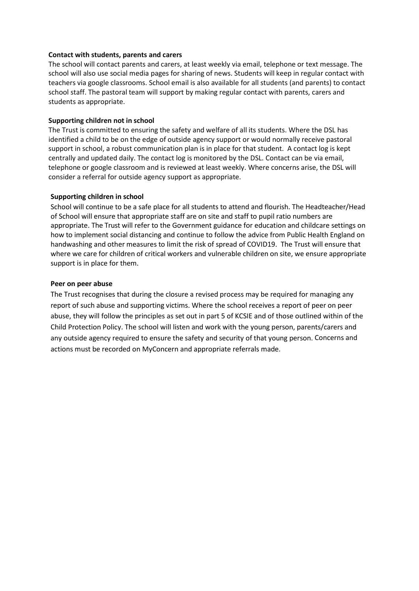## **Contact with students, parents and carers**

The school will contact parents and carers, at least weekly via email, telephone or text message. The school will also use social media pages for sharing of news. Students will keep in regular contact with teachers via google classrooms. School email is also available for all students (and parents) to contact school staff. The pastoral team will support by making regular contact with parents, carers and students as appropriate.

## **Supporting children not in school**

The Trust is committed to ensuring the safety and welfare of all its students. Where the DSL has identified a child to be on the edge of outside agency support or would normally receive pastoral support in school, a robust communication plan is in place for that student. A contact log is kept centrally and updated daily. The contact log is monitored by the DSL. Contact can be via email, telephone or google classroom and is reviewed at least weekly. Where concerns arise, the DSL will consider a referral for outside agency support as appropriate.

## **Supporting children in school**

School will continue to be a safe place for all students to attend and flourish. The Headteacher/Head of School will ensure that appropriate staff are on site and staff to pupil ratio numbers are appropriate. The Trust will refer to the Government guidance for education and childcare settings on how to implement social distancing and continue to follow the advice from Public Health England on handwashing and other measures to limit the risk of spread of COVID19. The Trust will ensure that where we care for children of critical workers and vulnerable children on site, we ensure appropriate support is in place for them.

## **Peer on peer abuse**

The Trust recognises that during the closure a revised process may be required for managing any report of such abuse and supporting victims. Where the school receives a report of peer on peer abuse, they will follow the principles as set out in part 5 of KCSIE and of those outlined within of the Child Protection Policy. The school will listen and work with the young person, parents/carers and any outside agency required to ensure the safety and security of that young person. Concerns and actions must be recorded on MyConcern and appropriate referrals made.